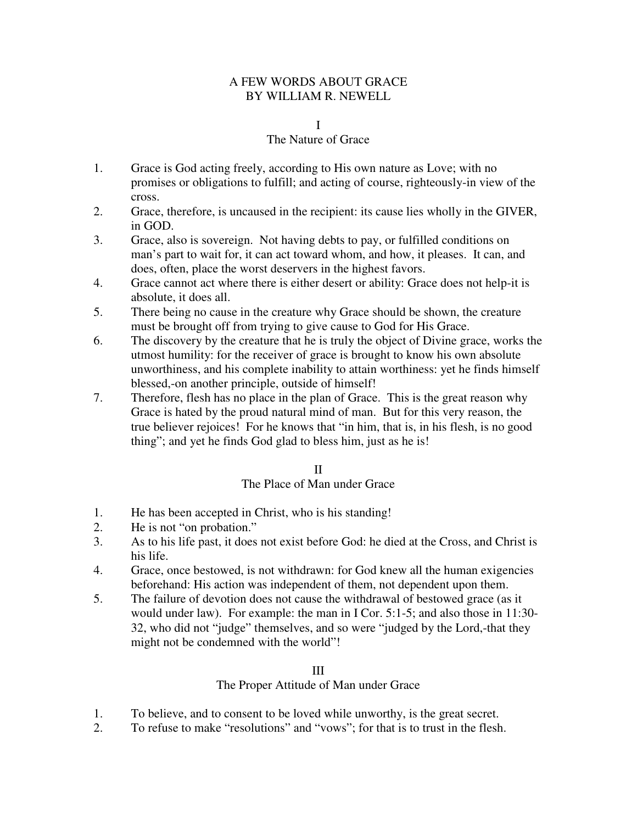# A FEW WORDS ABOUT GRACE BY WILLIAM R. NEWELL

#### I

## The Nature of Grace

- 1. Grace is God acting freely, according to His own nature as Love; with no promises or obligations to fulfill; and acting of course, righteously-in view of the cross.
- 2. Grace, therefore, is uncaused in the recipient: its cause lies wholly in the GIVER, in GOD.
- 3. Grace, also is sovereign. Not having debts to pay, or fulfilled conditions on man's part to wait for, it can act toward whom, and how, it pleases. It can, and does, often, place the worst deservers in the highest favors.
- 4. Grace cannot act where there is either desert or ability: Grace does not help-it is absolute, it does all.
- 5. There being no cause in the creature why Grace should be shown, the creature must be brought off from trying to give cause to God for His Grace.
- 6. The discovery by the creature that he is truly the object of Divine grace, works the utmost humility: for the receiver of grace is brought to know his own absolute unworthiness, and his complete inability to attain worthiness: yet he finds himself blessed,-on another principle, outside of himself!
- 7. Therefore, flesh has no place in the plan of Grace. This is the great reason why Grace is hated by the proud natural mind of man. But for this very reason, the true believer rejoices! For he knows that "in him, that is, in his flesh, is no good thing"; and yet he finds God glad to bless him, just as he is!

# II

# The Place of Man under Grace

- 1. He has been accepted in Christ, who is his standing!
- 2. He is not "on probation."
- 3. As to his life past, it does not exist before God: he died at the Cross, and Christ is his life.
- 4. Grace, once bestowed, is not withdrawn: for God knew all the human exigencies beforehand: His action was independent of them, not dependent upon them.
- 5. The failure of devotion does not cause the withdrawal of bestowed grace (as it would under law). For example: the man in I Cor. 5:1-5; and also those in 11:30- 32, who did not "judge" themselves, and so were "judged by the Lord,-that they might not be condemned with the world"!

#### III

# The Proper Attitude of Man under Grace

- 1. To believe, and to consent to be loved while unworthy, is the great secret.
- 2. To refuse to make "resolutions" and "vows"; for that is to trust in the flesh.